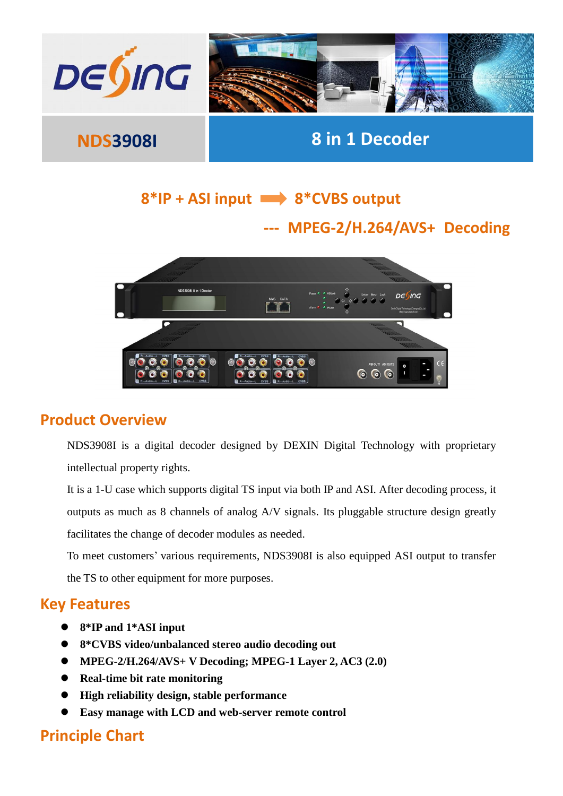

## 8\*IP + ASI input  $\longrightarrow$  8\*CVBS output

## **--- MPEG-2/H.264/AVS+ Decoding**



#### **Product Overview**

NDS3908I is a digital decoder designed by DEXIN Digital Technology with proprietary intellectual property rights.

It is a 1-U case which supports digital TS input via both IP and ASI. After decoding process, it outputs as much as 8 channels of analog A/V signals. Its pluggable structure design greatly facilitates the change of decoder modules as needed.

To meet customers' various requirements, NDS3908I is also equipped ASI output to transfer the TS to other equipment for more purposes.

#### **Key Features**

- **8\*IP and 1\*ASI input**
- **8\*CVBS video/unbalanced stereo audio decoding out**
- **MPEG-2/H.264/AVS+ V Decoding; MPEG-1 Layer 2, AC3 (2.0)**
- **Real-time bit rate monitoring**
- **High reliability design, stable performance**
- **Easy manage with LCD and web-server remote control**

### **Principle Chart**